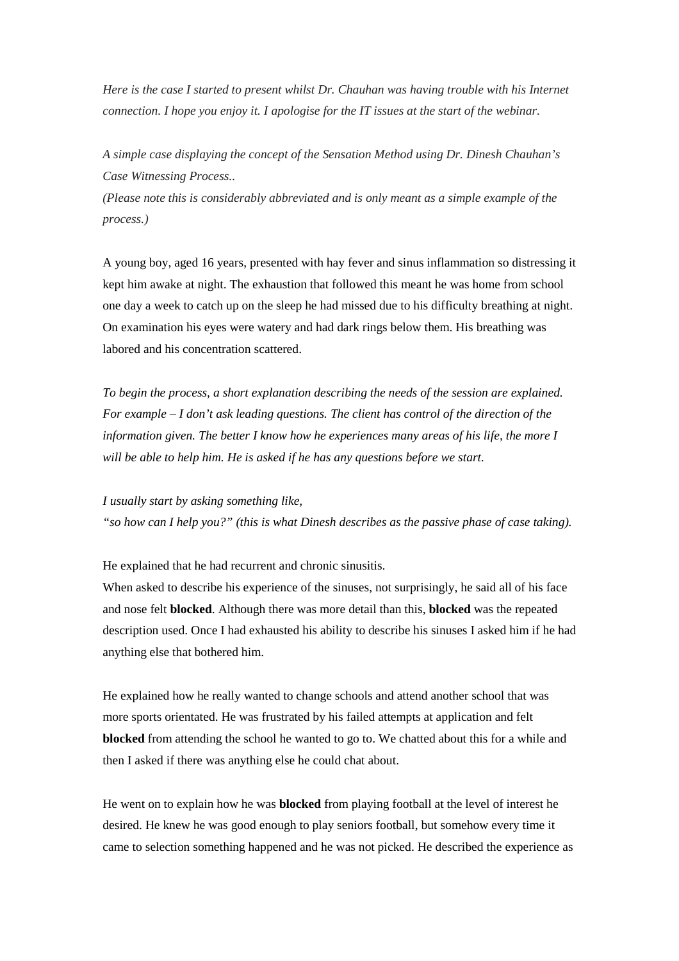*Here is the case I started to present whilst Dr. Chauhan was having trouble with his Internet connection. I hope you enjoy it. I apologise for the IT issues at the start of the webinar.*

*A simple case displaying the concept of the Sensation Method using Dr. Dinesh Chauhan's Case Witnessing Process..*

*(Please note this is considerably abbreviated and is only meant as a simple example of the process.)*

A young boy, aged 16 years, presented with hay fever and sinus inflammation so distressing it kept him awake at night. The exhaustion that followed this meant he was home from school one day a week to catch up on the sleep he had missed due to his difficulty breathing at night. On examination his eyes were watery and had dark rings below them. His breathing was labored and his concentration scattered.

*To begin the process, a short explanation describing the needs of the session are explained. For example – I don't ask leading questions. The client has control of the direction of the information given. The better I know how he experiences many areas of his life, the more I will be able to help him. He is asked if he has any questions before we start.* 

*I usually start by asking something like,* 

*"so how can I help you?" (this is what Dinesh describes as the passive phase of case taking).*

He explained that he had recurrent and chronic sinusitis.

When asked to describe his experience of the sinuses, not surprisingly, he said all of his face and nose felt **blocked**. Although there was more detail than this, **blocked** was the repeated description used. Once I had exhausted his ability to describe his sinuses I asked him if he had anything else that bothered him.

He explained how he really wanted to change schools and attend another school that was more sports orientated. He was frustrated by his failed attempts at application and felt **blocked** from attending the school he wanted to go to. We chatted about this for a while and then I asked if there was anything else he could chat about.

He went on to explain how he was **blocked** from playing football at the level of interest he desired. He knew he was good enough to play seniors football, but somehow every time it came to selection something happened and he was not picked. He described the experience as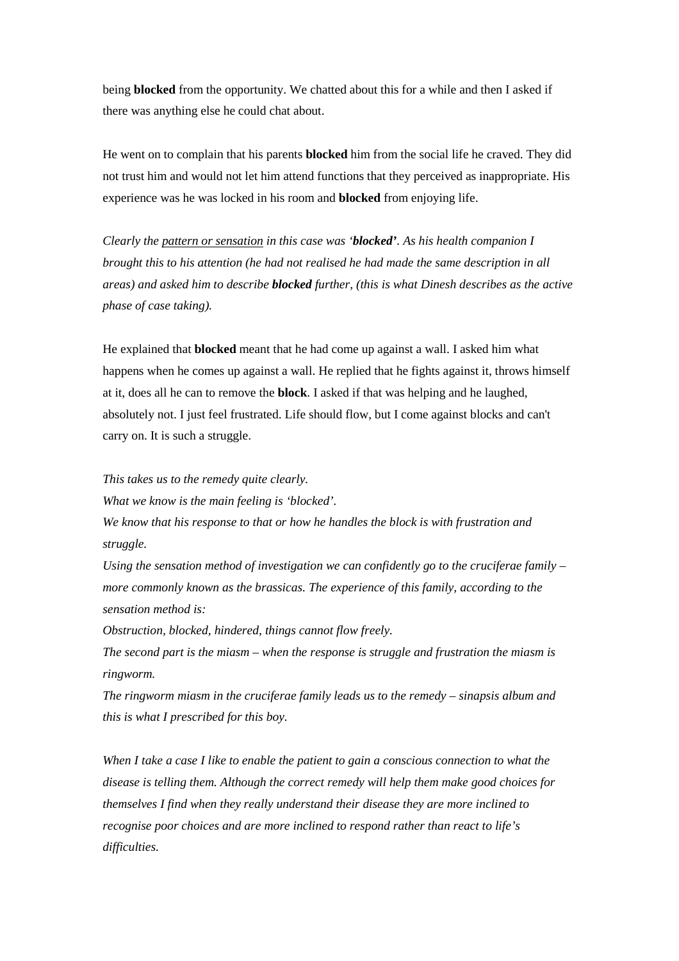being **blocked** from the opportunity. We chatted about this for a while and then I asked if there was anything else he could chat about.

He went on to complain that his parents **blocked** him from the social life he craved. They did not trust him and would not let him attend functions that they perceived as inappropriate. His experience was he was locked in his room and **blocked** from enjoying life.

*Clearly the pattern or sensation in this case was 'blocked'. As his health companion I brought this to his attention (he had not realised he had made the same description in all areas) and asked him to describe blocked further, (this is what Dinesh describes as the active phase of case taking).*

He explained that **blocked** meant that he had come up against a wall. I asked him what happens when he comes up against a wall. He replied that he fights against it, throws himself at it, does all he can to remove the **block**. I asked if that was helping and he laughed, absolutely not. I just feel frustrated. Life should flow, but I come against blocks and can't carry on. It is such a struggle.

*This takes us to the remedy quite clearly.*

*What we know is the main feeling is 'blocked'.* 

*We know that his response to that or how he handles the block is with frustration and struggle.*

*Using the sensation method of investigation we can confidently go to the cruciferae family – more commonly known as the brassicas. The experience of this family, according to the sensation method is:*

*Obstruction, blocked, hindered, things cannot flow freely.* 

*The second part is the miasm – when the response is struggle and frustration the miasm is ringworm.*

*The ringworm miasm in the cruciferae family leads us to the remedy – sinapsis album and this is what I prescribed for this boy.*

*When I take a case I like to enable the patient to gain a conscious connection to what the disease is telling them. Although the correct remedy will help them make good choices for themselves I find when they really understand their disease they are more inclined to recognise poor choices and are more inclined to respond rather than react to life's difficulties.*